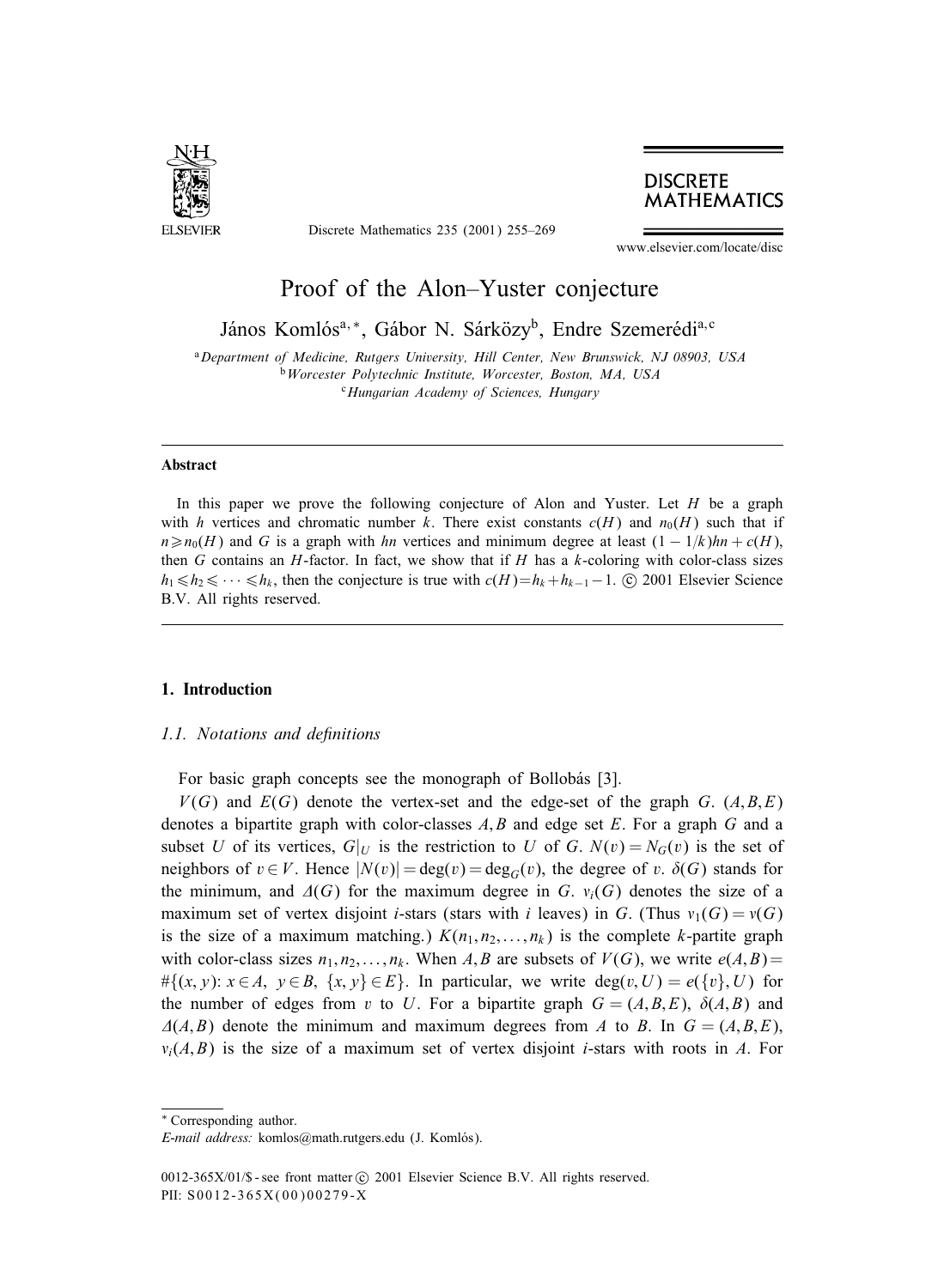

Discrete Mathematics 235 (2001) 255–269

## **DISCRETE MATHEMATICS**

www.elsevier.com/locate/disc

# Proof of the Alon–Yuster conjecture

János Komlós<sup>a, ∗</sup>, Gábor N. Sárközy<sup>b</sup>, Endre Szemerédi<sup>a, c</sup>

<sup>a</sup>*Department of Medicine, Rutgers University, Hill Center, New Brunswick, NJ 08903, USA* <sup>b</sup>*Worcester Polytechnic Institute, Worcester, Boston, MA, USA* <sup>c</sup>*Hungarian Academy of Sciences, Hungary*

#### **Abstract**

In this paper we prove the following conjecture of Alon and Yuster. Let  $H$  be a graph with h vertices and chromatic number k. There exist constants  $c(H)$  and  $n_0(H)$  such that if  $n \ge n_0(H)$  and G is a graph with hn vertices and minimum degree at least  $(1 - 1/k)hn + c(H)$ , then G contains an H-factor. In fact, we show that if H has a  $k$ -coloring with color-class sizes  $h_1 \le h_2 \le \cdots \le h_k$ , then the conjecture is true with  $c(H)=h_k + h_{k-1}-1$ . © 2001 Elsevier Science B.V. All rights reserved.

## **1. Introduction**

#### *1.1. Notations and definitions*

For basic graph concepts see the monograph of Bollobás [3].

 $V(G)$  and  $E(G)$  denote the vertex-set and the edge-set of the graph G.  $(A, B, E)$ denotes a bipartite graph with color-classes  $A, B$  and edge set  $E$ . For a graph  $G$  and a subset U of its vertices,  $G|_U$  is the restriction to U of G.  $N(v) = N_G(v)$  is the set of neighbors of  $v \in V$ . Hence  $|N(v)| = \deg(v) = \deg_G(v)$ , the degree of v.  $\delta(G)$  stands for the minimum, and  $\Delta(G)$  for the maximum degree in G.  $v_i(G)$  denotes the size of a maximum set of vertex disjoint *i*-stars (stars with *i* leaves) in G. (Thus  $v_1(G) = v(G)$ is the size of a maximum matching.)  $K(n_1, n_2, \ldots, n_k)$  is the complete k-partite graph with color-class sizes  $n_1, n_2, \ldots, n_k$ . When A, B are subsets of  $V(G)$ , we write  $e(A, B)$ = # $\{ (x, y): x \in A, y \in B, \{x, y\} \in E \}$ . In particular, we write deg(v, U) =  $e(\{v\}, U)$  for the number of edges from v to U. For a bipartite graph  $G = (A, B, E)$ ,  $\delta(A, B)$  and  $\Delta(A,B)$  denote the minimum and maximum degrees from A to B. In  $G = (A,B,E)$ ,  $v_i(A, B)$  is the size of a maximum set of vertex disjoint *i*-stars with roots in A. For

<sup>∗</sup> Corresponding author.

*E-mail address:* komlos@math.rutgers.edu (J. Komlós).

<sup>0012-365</sup>X/01/\$ - see front matter  $\odot$  2001 Elsevier Science B.V. All rights reserved. PII: S0012-365X(00)00279-X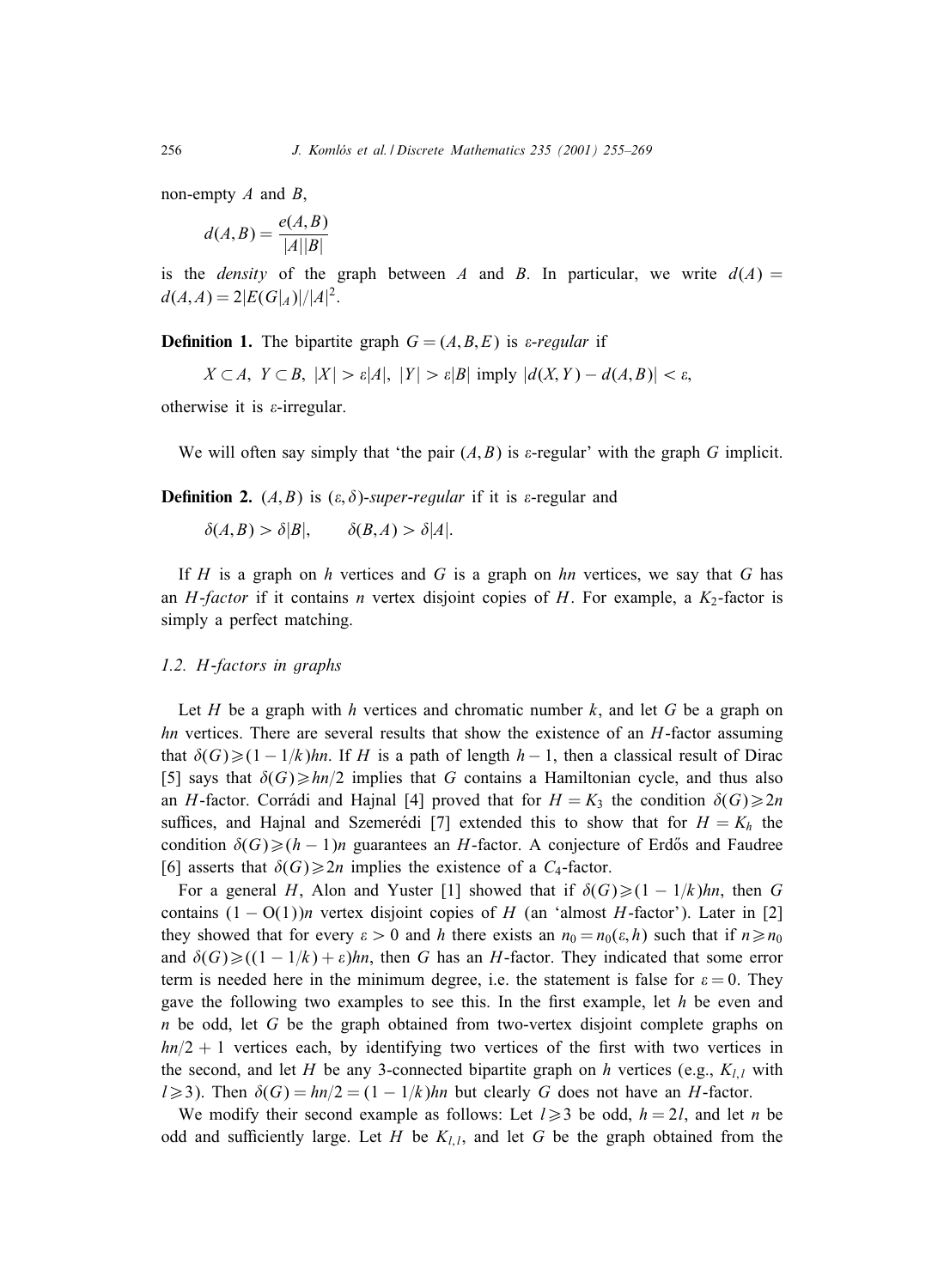non-empty  $A$  and  $B$ ,

$$
d(A,B) = \frac{e(A,B)}{|A||B|}
$$

is the *density* of the graph between A and B. In particular, we write  $d(A)$  =  $d(A,A) = 2|E(G|_A)|/|A|^2.$ 

**Definition 1.** The bipartite graph  $G = (A, B, E)$  is *a-regular* if

 $X \subset A$ ,  $Y \subset B$ ,  $|X| > \varepsilon |A|$ ,  $|Y| > \varepsilon |B|$  imply  $|d(X, Y) - d(A, B)| < \varepsilon$ .

otherwise it is  $\varepsilon$ -irregular.

We will often say simply that 'the pair  $(A, B)$  is  $\varepsilon$ -regular' with the graph G implicit.

**Definition 2.**  $(A, B)$  is  $(\varepsilon, \delta)$ -super-regular if it is  $\varepsilon$ -regular and

 $\delta(A, B) > \delta |B|, \qquad \delta(B, A) > \delta |A|.$ 

If H is a graph on h vertices and G is a graph on hn vertices, we say that G has an *H*-*factor* if it contains *n* vertex disjoint copies of *H*. For example, a  $K_2$ -factor is simply a perfect matching.

#### *1.2.* H*-factors in graphs*

Let H be a graph with h vertices and chromatic number k, and let G be a graph on  $hn$  vertices. There are several results that show the existence of an  $H$ -factor assuming that  $\delta(G) \geq (1 - 1/k)hn$ . If H is a path of length  $h - 1$ , then a classical result of Dirac [5] says that  $\delta(G) \geq h n/2$  implies that G contains a Hamiltonian cycle, and thus also an H-factor. Corrádi and Hajnal [4] proved that for  $H = K_3$  the condition  $\delta(G) \ge 2n$ suffices, and Hajnal and Szemerédi [7] extended this to show that for  $H = K<sub>h</sub>$  the condition  $\delta(G) \geq (h-1)n$  guarantees an H-factor. A conjecture of Erdős and Faudree [6] asserts that  $\delta(G) \geq 2n$  implies the existence of a  $C_4$ -factor.

For a general H, Alon and Yuster [1] showed that if  $\delta(G) \geq (1 - 1/k)hn$ , then G contains  $(1 - O(1))n$  vertex disjoint copies of H (an 'almost H-factor'). Later in [2] they showed that for every  $\varepsilon > 0$  and h there exists an  $n_0 = n_0(\varepsilon, h)$  such that if  $n \ge n_0$ and  $\delta(G) \ge ((1 - 1/k) + \varepsilon)hn$ , then G has an H-factor. They indicated that some error term is needed here in the minimum degree, i.e. the statement is false for  $\varepsilon = 0$ . They gave the following two examples to see this. In the first example, let  $h$  be even and  $n$  be odd, let G be the graph obtained from two-vertex disjoint complete graphs on  $hn/2 + 1$  vertices each, by identifying two vertices of the first with two vertices in the second, and let H be any 3-connected bipartite graph on h vertices (e.g.,  $K_{l,l}$  with  $l \geq 3$ ). Then  $\delta(G) = \frac{hn}{2} = \frac{1 - \frac{1}{k}}{hn}$  but clearly G does not have an H-factor.

We modify their second example as follows: Let  $l \geq 3$  be odd,  $h = 2l$ , and let n be odd and sufficiently large. Let H be  $K_{l,i}$ , and let G be the graph obtained from the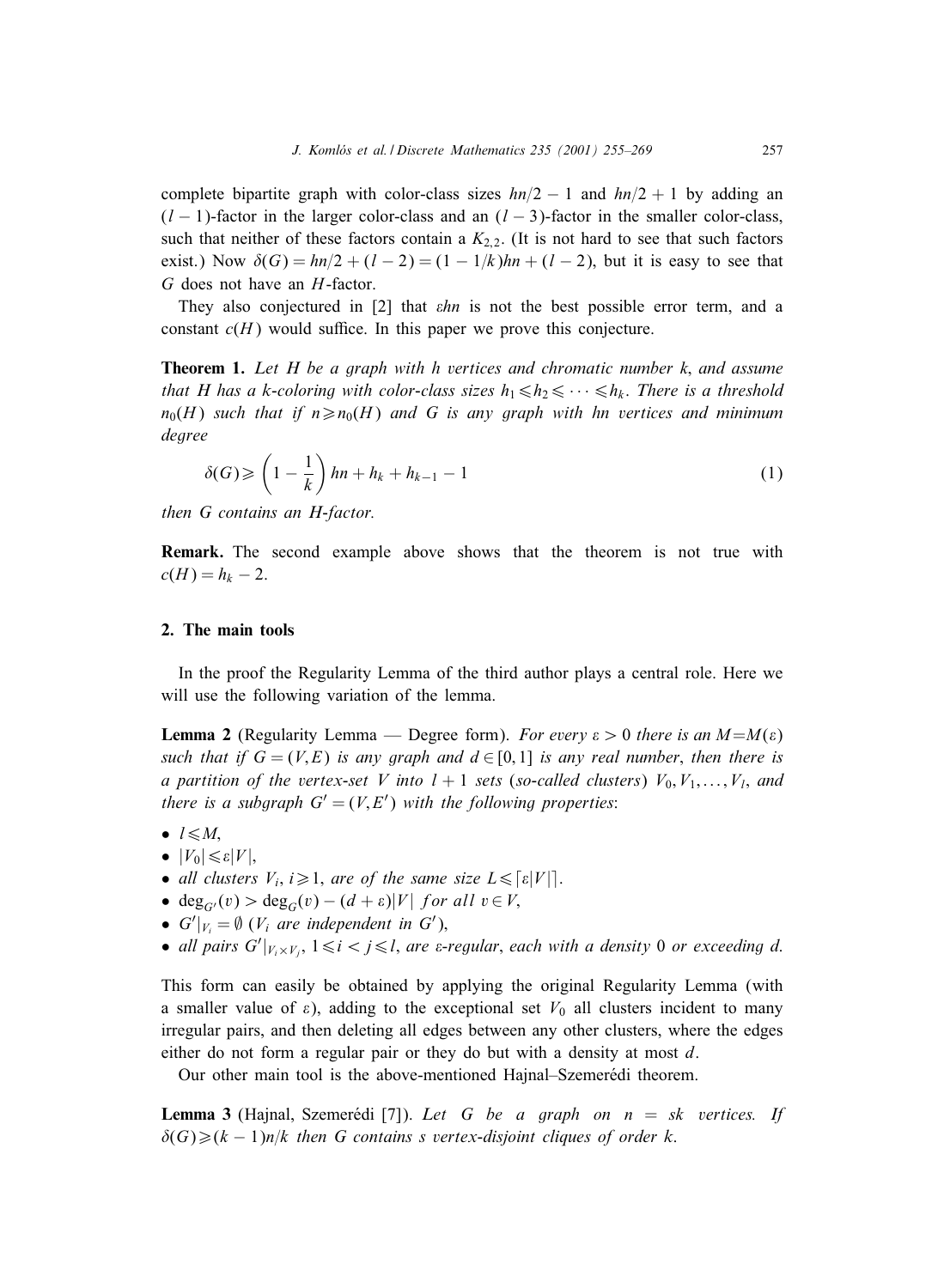complete bipartite graph with color-class sizes  $hn/2 - 1$  and  $hn/2 + 1$  by adding an  $(l-1)$ -factor in the larger color-class and an  $(l-3)$ -factor in the smaller color-class, such that neither of these factors contain a  $K_{2,2}$ . (It is not hard to see that such factors exist.) Now  $\delta(G) = \frac{hn}{2} + (l - 2) = (1 - \frac{1}{k})hn + (l - 2)$ , but it is easy to see that G does not have an H-factor.

They also conjectured in  $[2]$  that  $\epsilon h$  is not the best possible error term, and a constant  $c(H)$  would suffice. In this paper we prove this conjecture.

**Theorem 1.** *Let H be a graph with h vertices and chromatic number* k; *and assume that H has a k-coloring with color-class sizes*  $h_1 \leq h_2 \leq \cdots \leq h_k$ . *There is a threshold*  $n_0(H)$  *such that if*  $n \ge n_0(H)$  *and* G is any graph with hn vertices and minimum *degree*

$$
\delta(G) \geqslant \left(1 - \frac{1}{k}\right)hn + h_k + h_{k-1} - 1\tag{1}
$$

*then G contains an H-factor.*

**Remark.** The second example above shows that the theorem is not true with  $c(H) = h_k - 2.$ 

### **2. The main tools**

In the proof the Regularity Lemma of the third author plays a central role. Here we will use the following variation of the lemma.

**Lemma 2** (Regularity Lemma — Degree form). *For every*  $\varepsilon > 0$  *there is an*  $M=M(\varepsilon)$ *such that if*  $G = (V, E)$  *is any graph and*  $d \in [0, 1]$  *is any real number, then there is a partition of the vertex-set V into*  $l + 1$  *sets* (*so-called clusters*)  $V_0, V_1, \ldots, V_l$ *, and there is a subgraph*  $G' = (V, E')$  *with the following properties:* 

- $l \leq M$ .
- $|V_0| \leq \varepsilon |V|$
- *all clusters*  $V_i$ ,  $i \geq 1$ , *are of the same size*  $L \leq \lceil \varepsilon |V| \rceil$ .
- deg<sub>G'</sub>(v) > deg<sub>G</sub>(v) (d +  $\varepsilon$ )|V| for all  $v \in V$ ,
- $G'|_{V_i} = \emptyset$  ( $V_i$  are independent in  $G'$ ),
- all pairs  $G'|_{V_i \times V_j}$ ,  $1 \le i < j \le l$ , are  $\varepsilon$ -regular, each with a density 0 or exceeding d.

This form can easily be obtained by applying the original Regularity Lemma (with a smaller value of  $\varepsilon$ ), adding to the exceptional set  $V_0$  all clusters incident to many irregular pairs, and then deleting all edges between any other clusters, where the edges either do not form a regular pair or they do but with a density at most d.

Our other main tool is the above-mentioned Hajnal–Szemerédi theorem.

**Lemma 3** (Hajnal, Szemerédi [7]). Let G be a graph on  $n = sk$  vertices. If  $\delta(G) \geq (k-1)n/k$  *then G contains s vertex-disjoint cliques of order k.*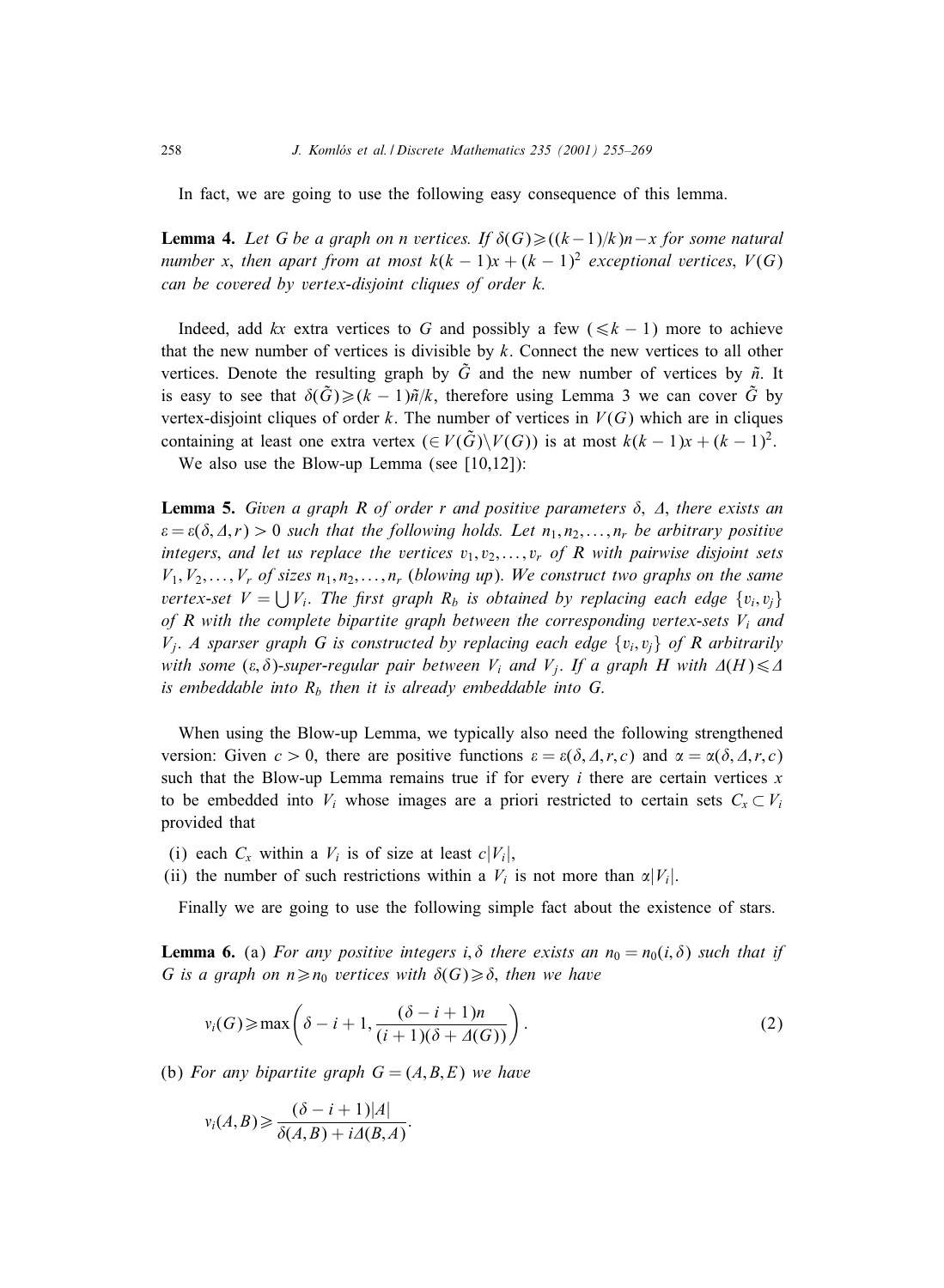In fact, we are going to use the following easy consequence of this lemma.

**Lemma 4.** Let G be a graph on n vertices. If  $\delta(G) \geq ((k-1)/k)n - x$  for some natural *number* x, then apart from at most  $k(k - 1)x + (k - 1)^2$  exceptional vertices,  $V(G)$ *can be covered by vertex-disjoint cliques of order k.*

Indeed, add kx extra vertices to G and possibly a few ( $\leq k - 1$ ) more to achieve that the new number of vertices is divisible by  $k$ . Connect the new vertices to all other vertices. Denote the resulting graph by  $\tilde{G}$  and the new number of vertices by  $\tilde{n}$ . It is easy to see that  $\delta(\tilde{G}) \geq (k-1)\tilde{n}/k$ , therefore using Lemma 3 we can cover  $\tilde{G}$  by vertex-disjoint cliques of order k. The number of vertices in  $V(G)$  which are in cliques containing at least one extra vertex ( $\in V(\tilde{G})\backslash V(G)$ ) is at most  $k(k-1)x + (k-1)^2$ .

We also use the Blow-up Lemma (see [10,12]):

**Lemma 5.** *Given a graph R of order r and positive parameters*  $\delta$ ,  $\Delta$ , *there exists an*  $\varepsilon = \varepsilon(\delta, \Delta, r) > 0$  *such that the following holds. Let*  $n_1, n_2, \ldots, n_r$  *be arbitrary positive integers*, and let us replace the vertices  $v_1, v_2, \ldots, v_r$  of R with pairwise disjoint sets  $V_1, V_2, \ldots, V_r$  of sizes  $n_1, n_2, \ldots, n_r$  (*blowing up*). We construct two graphs on the same *vertex-set*  $V = \bigcup V_i$ . The first graph  $R_b$  *is obtained by replacing each edge*  $\{v_i, v_j\}$ *of R with the complete bipartite graph between the corresponding vertex-sets*  $V_i$  *and*  $V_i$ . *A sparser graph G is constructed by replacing each edge*  $\{v_i, v_j\}$  of R arbitrarily *with some*  $(\varepsilon, \delta)$ -*super-regular pair between*  $V_i$  *and*  $V_j$ . If a graph H with  $\Delta(H) \leq \Delta$ *is embeddable into*  $R_b$  *then it is already embeddable into G.* 

When using the Blow-up Lemma, we typically also need the following strengthened version: Given  $c > 0$ , there are positive functions  $\varepsilon = \varepsilon(\delta, \Delta, r, c)$  and  $\alpha = \alpha(\delta, \Delta, r, c)$ such that the Blow-up Lemma remains true if for every  $i$  there are certain vertices  $x$ to be embedded into  $V_i$  whose images are a priori restricted to certain sets  $C_x \subset V_i$ provided that

- (i) each  $C_x$  within a  $V_i$  is of size at least  $c|V_i|$ ,
- (ii) the number of such restrictions within a  $V_i$  is not more than  $\alpha |V_i|$ .

Finally we are going to use the following simple fact about the existence of stars.

**Lemma 6.** (a) *For any positive integers i*,  $\delta$  *there exists an*  $n_0 = n_0(i, \delta)$  *such that if G* is a graph on  $n \ge n_0$  vertices with  $\delta(G) \ge \delta$ , then we have

$$
\nu_i(G) \ge \max\left(\delta - i + 1, \frac{(\delta - i + 1)n}{(i + 1)(\delta + \Delta(G))}\right).
$$
\n(2)

(b) For any bipartite graph  $G = (A, B, E)$  we have

$$
v_i(A,B) \geq \frac{(\delta - i + 1)|A|}{\delta(A,B) + i\Delta(B,A)}.
$$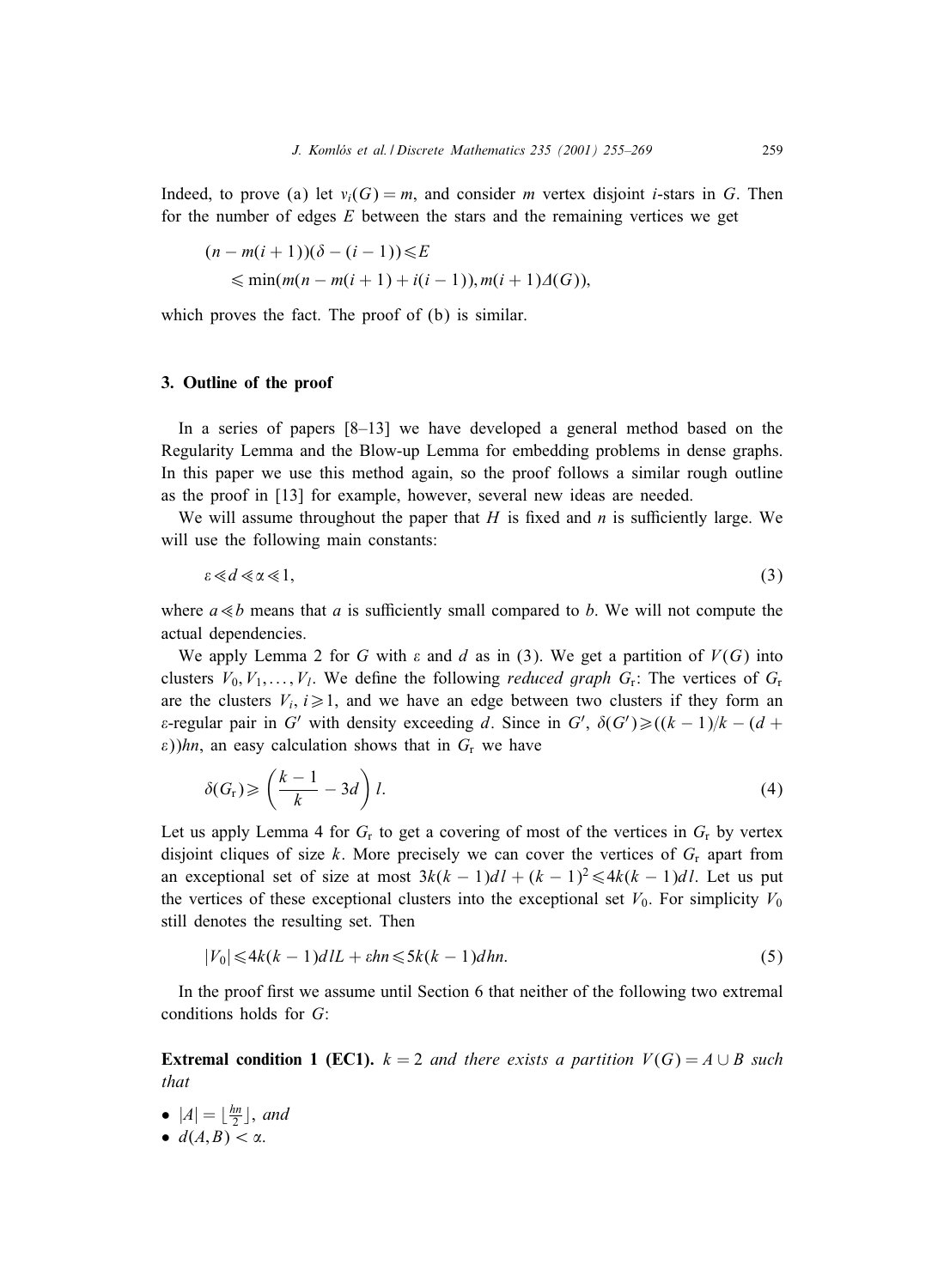Indeed, to prove (a) let  $v_i(G) = m$ , and consider m vertex disjoint *i*-stars in G. Then for the number of edges  $E$  between the stars and the remaining vertices we get

$$
(n - m(i + 1))(\delta - (i - 1)) \le E
$$
  
 
$$
\le \min(m(n - m(i + 1) + i(i - 1)), m(i + 1)\Delta(G)),
$$

which proves the fact. The proof of (b) is similar.

### **3. Outline of the proof**

In a series of papers  $[8-13]$  we have developed a general method based on the Regularity Lemma and the Blow-up Lemma for embedding problems in dense graphs. In this paper we use this method again, so the proof follows a similar rough outline as the proof in [13] for example, however, several new ideas are needed.

We will assume throughout the paper that  $H$  is fixed and  $n$  is sufficiently large. We will use the following main constants:

$$
\varepsilon \ll d \ll \alpha \ll 1,\tag{3}
$$

where  $a \ll b$  means that a is sufficiently small compared to b. We will not compute the actual dependencies.

We apply Lemma 2 for G with  $\varepsilon$  and d as in (3). We get a partition of  $V(G)$  into clusters  $V_0, V_1, \ldots, V_l$ . We define the following *reduced graph*  $G_r$ : The vertices of  $G_r$ are the clusters  $V_i$ ,  $i \ge 1$ , and we have an edge between two clusters if they form an  $\varepsilon$ -regular pair in G' with density exceeding d. Since in G',  $\delta(G') \geq (k-1)/k - (d +$  $\varepsilon$ ))hn, an easy calculation shows that in  $G_r$  we have

$$
\delta(G_{\rm r}) \geqslant \left(\frac{k-1}{k} - 3d\right)l. \tag{4}
$$

Let us apply Lemma 4 for  $G_r$  to get a covering of most of the vertices in  $G_r$  by vertex disjoint cliques of size k. More precisely we can cover the vertices of  $G_r$  apart from an exceptional set of size at most  $3k(k-1)dI + (k-1)^2 \le 4k(k-1)dI$ . Let us put the vertices of these exceptional clusters into the exceptional set  $V_0$ . For simplicity  $V_0$ still denotes the resulting set. Then

$$
|V_0| \leqslant 4k(k-1)dIL + \varepsilon hn \leqslant 5k(k-1)dhn. \tag{5}
$$

In the proof first we assume until Section 6 that neither of the following two extremal conditions holds for G:

**Extremal condition 1 (EC1).**  $k = 2$  *and there exists a partition*  $V(G) = A \cup B$  *such that*

- $|A| = \lfloor \frac{hn}{2} \rfloor$ , and
- $d(A, B) < \alpha$ .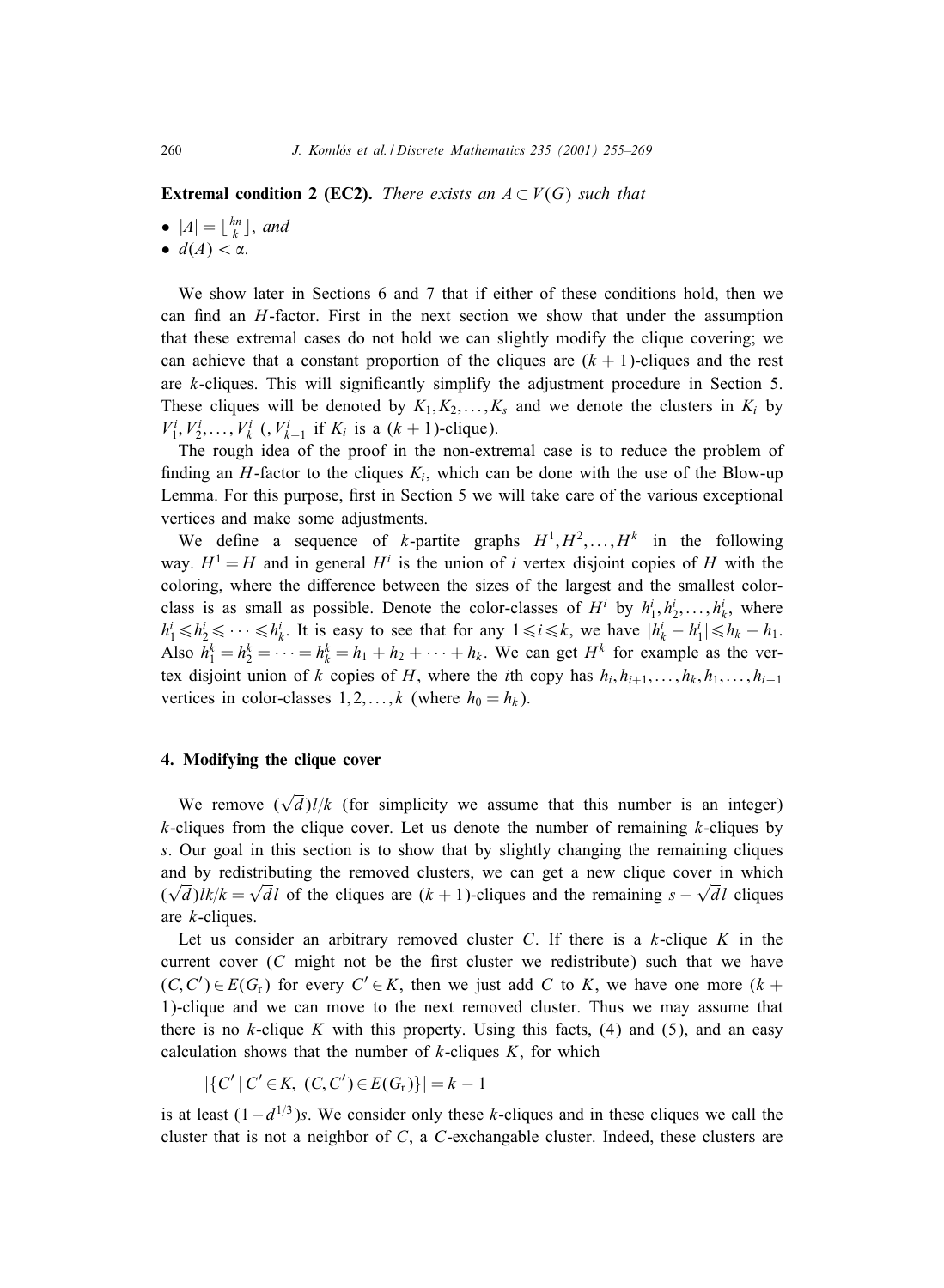**Extremal condition 2 (EC2).** *There exists an*  $A \subset V(G)$  *such that* 

- $|A| = \lfloor \frac{hn}{k} \rfloor$ , and
- $d(A) < \alpha$ .

We show later in Sections 6 and 7 that if either of these conditions hold, then we can find an  $H$ -factor. First in the next section we show that under the assumption that these extremal cases do not hold we can slightly modify the clique covering; we can achieve that a constant proportion of the cliques are  $(k + 1)$ -cliques and the rest are  $k$ -cliques. This will significantly simplify the adjustment procedure in Section 5. These cliques will be denoted by  $K_1, K_2, \ldots, K_s$  and we denote the clusters in  $K_i$  by  $V_1^i, V_2^i, \ldots, V_k^i$  (,  $V_{k+1}^i$  if  $K_i$  is a  $(k + 1)$ -clique).

The rough idea of the proof in the non-extremal case is to reduce the problem of finding an H-factor to the cliques  $K_i$ , which can be done with the use of the Blow-up Lemma. For this purpose, first in Section  $5$  we will take care of the various exceptional vertices and make some adjustments.

We define a sequence of k-partite graphs  $H^1, H^2, \ldots, H^k$  in the following way.  $H^1 = H$  and in general  $H^i$  is the union of i vertex disjoint copies of H with the coloring, where the difference between the sizes of the largest and the smallest colorclass is as small as possible. Denote the color-classes of  $H^i$  by  $h_1^i, h_2^i, \ldots, h_k^i$ , where  $h_1^i \le h_2^i \le \cdots \le h_k^i$ . It is easy to see that for any  $1 \le i \le k$ , we have  $|h_k^i - h_1^i| \le h_k - h_1$ . Also  $h_1^k = h_2^k = \cdots = h_k^k = h_1 + h_2 + \cdots + h_k$ . We can get  $H^k$  for example as the vertex disjoint union of k copies of H, where the *i*th copy has  $h_i, h_{i+1},...,h_k, h_1,...,h_{i-1}$ vertices in color-classes  $1, 2, \ldots, k$  (where  $h_0 = h_k$ ).

## **4. Modifying the clique cover**

We remove  $(\sqrt{d})l/k$  (for simplicity we assume that this number is an integer)  $k$ -cliques from the clique cover. Let us denote the number of remaining  $k$ -cliques by s. Our goal in this section is to show that by slightly changing the remaining cliques and by redistributing the removed clusters, we can get a new clique cover in which and by redistributing the removed clusters, we can get a new chique cover in which  $(\sqrt{d})$  lk/ $k = \sqrt{d}l$  of the cliques are  $(k + 1)$ -cliques and the remaining  $s - \sqrt{d}l$  cliques are k-cliques.

Let us consider an arbitrary removed cluster C. If there is a  $k$ -clique K in the current cover  $(C \text{ might not be the first cluster we redistribute})$  such that we have  $(C, C') \in E(G_r)$  for every  $C' \in K$ , then we just add C to K, we have one more  $(k +$ 1)-clique and we can move to the next removed cluster. Thus we may assume that there is no  $k$ -clique K with this property. Using this facts,  $(4)$  and  $(5)$ , and an easy calculation shows that the number of  $k$ -cliques  $K$ , for which

$$
|\{C' | C' \in K, (C, C') \in E(G_r)\}| = k - 1
$$

is at least  $(1-d^{1/3})s$ . We consider only these k-cliques and in these cliques we call the cluster that is not a neighbor of  $C$ , a  $C$ -exchangable cluster. Indeed, these clusters are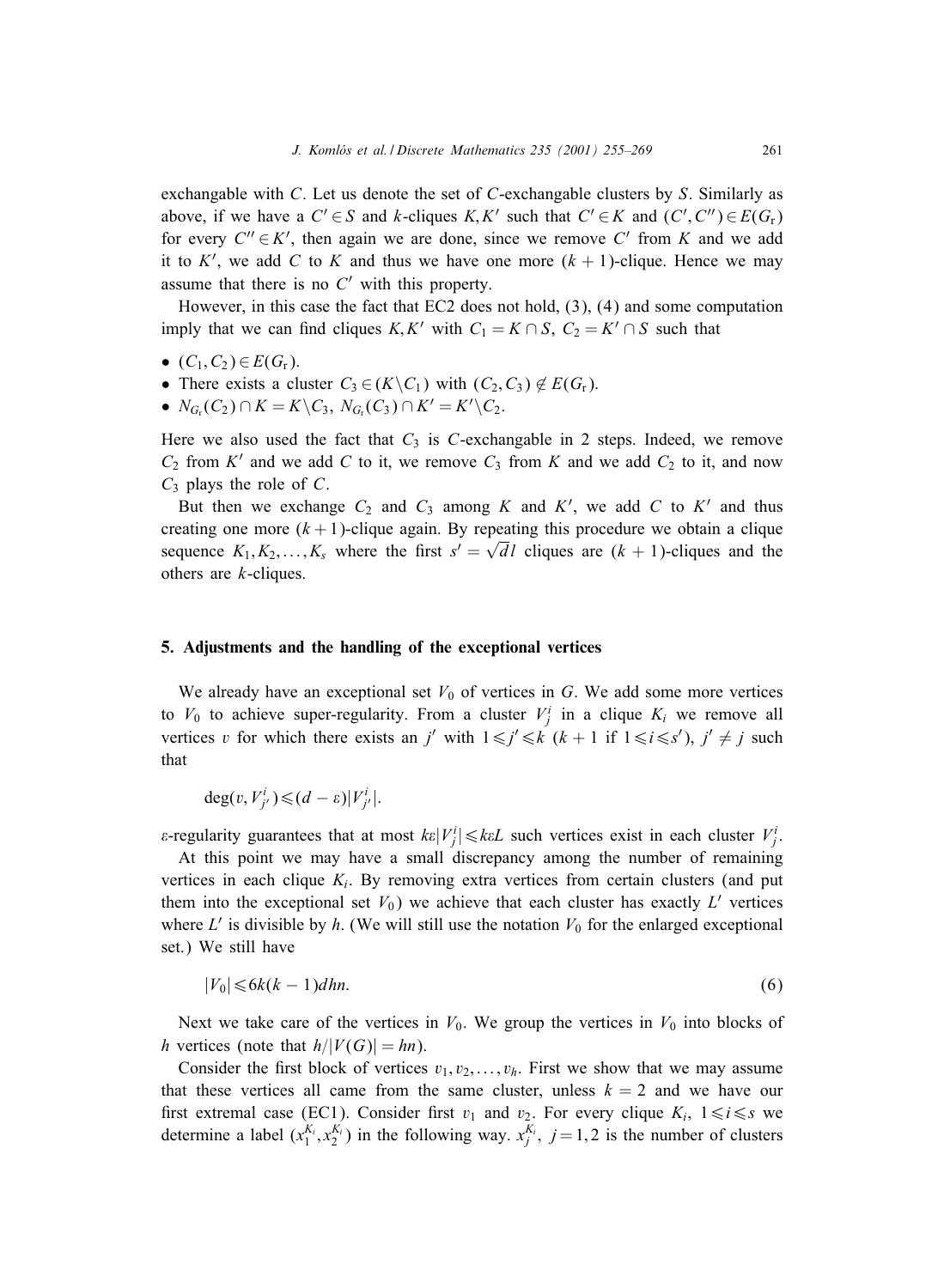exchangable with C. Let us denote the set of C-exchangable clusters by S. Similarly as above, if we have a  $C' \in S$  and k-cliques  $K, K'$  such that  $C' \in K$  and  $(C', C'') \in E(G_r)$ for every  $C'' \in K'$ , then again we are done, since we remove C' from K and we add it to K', we add C to K and thus we have one more  $(k + 1)$ -clique. Hence we may assume that there is no  $C'$  with this property.

However, in this case the fact that EC2 does not hold, (3), (4) and some computation imply that we can find cliques  $K, K'$  with  $C_1 = K \cap S$ ,  $C_2 = K' \cap S$  such that

- $(C_1, C_2) \in E(G_r)$ .
- There exists a cluster  $C_3 \in (K \backslash C_1)$  with  $(C_2, C_3) \notin E(G_r)$ .
- $N_{G_r}(C_2) \cap K = K \backslash C_3$ ,  $N_{G_r}(C_3) \cap K' = K' \backslash C_2$ .

Here we also used the fact that  $C_3$  is  $C$ -exchangable in 2 steps. Indeed, we remove  $C_2$  from K' and we add C to it, we remove  $C_3$  from K and we add  $C_2$  to it, and now  $C_3$  plays the role of C.

But then we exchange  $C_2$  and  $C_3$  among K and K', we add C to K' and thus creating one more  $(k + 1)$ -clique again. By repeating this procedure we obtain a clique sequence  $K_1, K_2, \ldots, K_s$  where the first  $s' = \sqrt{d}l$  cliques are  $(k + 1)$ -cliques and the others are k-cliques.

#### **5.** Adjustments and the handling of the exceptional vertices

We already have an exceptional set  $V_0$  of vertices in G. We add some more vertices to  $V_0$  to achieve super-regularity. From a cluster  $V_j^i$  in a clique  $K_i$  we remove all vertices v for which there exists an j' with  $1 \le j' \le k$   $(k + 1$  if  $1 \le i \le s'$ ,  $j' \ne j$  such that

 $\deg(v, V^i_{j'}) \leq (d - \varepsilon)|V^i_{j'}|.$ 

 $\varepsilon$ -regularity guarantees that at most  $k\varepsilon|V_j^i|\leq k\varepsilon L$  such vertices exist in each cluster  $V_j^i$ .

At this point we may have a small discrepancy among the number of remaining vertices in each clique  $K_i$ . By removing extra vertices from certain clusters (and put them into the exceptional set  $V_0$ ) we achieve that each cluster has exactly  $L'$  vertices where  $L'$  is divisible by h. (We will still use the notation  $V_0$  for the enlarged exceptional set.) We still have

$$
|V_0| \leqslant 6k(k-1)dhn. \tag{6}
$$

Next we take care of the vertices in  $V_0$ . We group the vertices in  $V_0$  into blocks of h vertices (note that  $h/|V(G)| = hn$ ).

Consider the first block of vertices  $v_1, v_2, \ldots, v_h$ . First we show that we may assume that these vertices all came from the same cluster, unless  $k = 2$  and we have our first extremal case (EC1). Consider first  $v_1$  and  $v_2$ . For every clique  $K_i$ ,  $1 \le i \le s$  we determine a label  $(x_1^{K_i}, x_2^{K_i})$  in the following way.  $x_j^{K_i}$ ,  $j = 1, 2$  is the number of clusters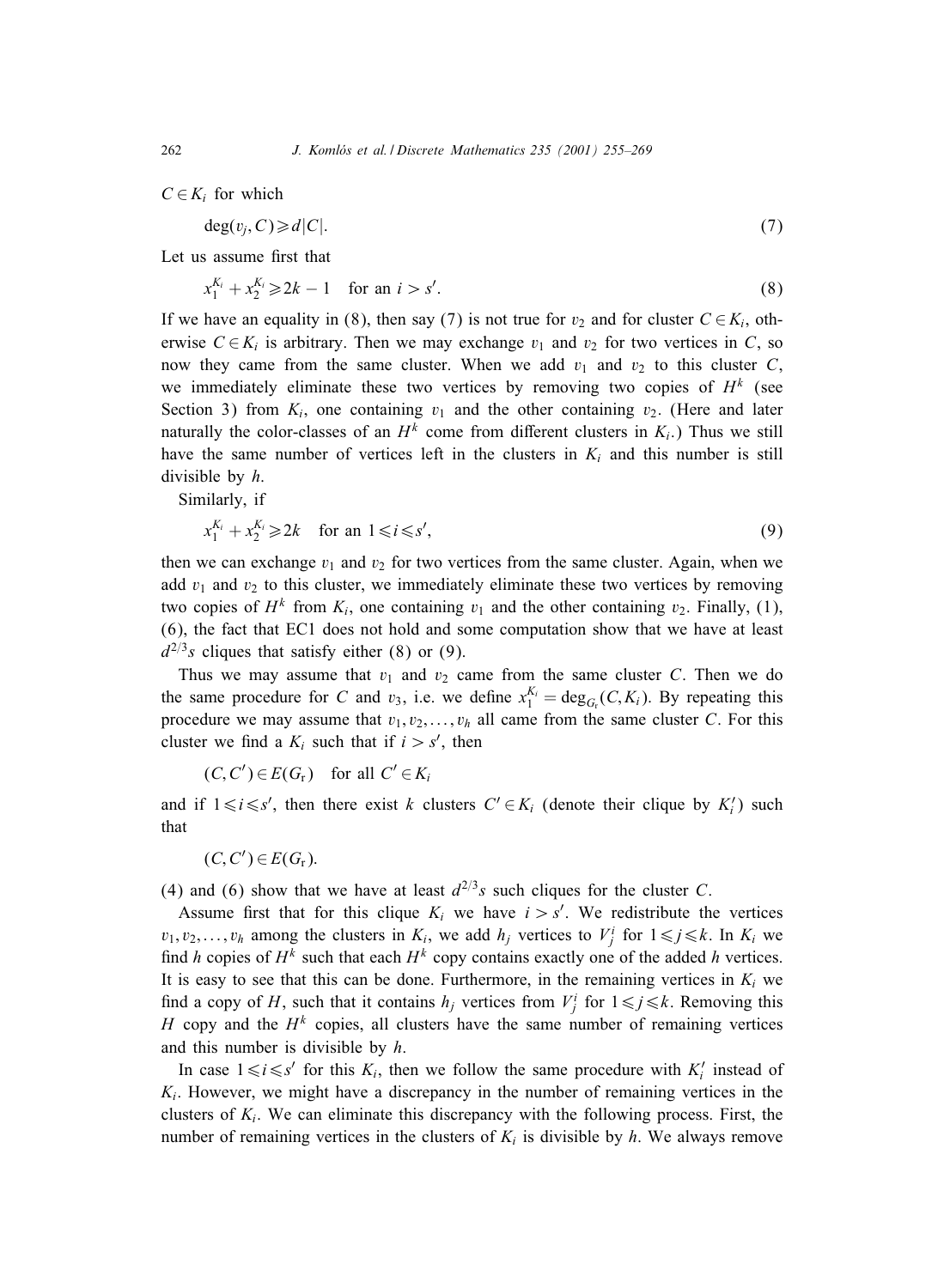$C \in K_i$  for which

$$
\deg(v_j, C) \geq d|C|.\tag{7}
$$

Let us assume first that

$$
x_1^{K_i} + x_2^{K_i} \ge 2k - 1 \quad \text{for an } i > s'. \tag{8}
$$

If we have an equality in (8), then say (7) is not true for  $v_2$  and for cluster  $C \in K_i$ , otherwise  $C \in K_i$  is arbitrary. Then we may exchange  $v_1$  and  $v_2$  for two vertices in C, so now they came from the same cluster. When we add  $v_1$  and  $v_2$  to this cluster C, we immediately eliminate these two vertices by removing two copies of  $H<sup>k</sup>$  (see Section 3) from  $K_i$ , one containing  $v_1$  and the other containing  $v_2$ . (Here and later naturally the color-classes of an  $H^k$  come from different clusters in  $K_i$ .) Thus we still have the same number of vertices left in the clusters in  $K_i$  and this number is still divisible by h.

Similarly, if

$$
x_1^{K_i} + x_2^{K_i} \ge 2k \quad \text{for an } 1 \le i \le s',\tag{9}
$$

then we can exchange  $v_1$  and  $v_2$  for two vertices from the same cluster. Again, when we add  $v_1$  and  $v_2$  to this cluster, we immediately eliminate these two vertices by removing two copies of  $H^k$  from  $K_i$ , one containing  $v_1$  and the other containing  $v_2$ . Finally, (1), (6), the fact that EC1 does not hold and some computation show that we have at least  $d^{2/3}s$  cliques that satisfy either (8) or (9).

Thus we may assume that  $v_1$  and  $v_2$  came from the same cluster C. Then we do the same procedure for C and  $v_3$ , i.e. we define  $x_1^{K_i} = \text{deg}_{G_r}(C, K_i)$ . By repeating this procedure we may assume that  $v_1, v_2, \ldots, v_h$  all came from the same cluster C. For this cluster we find a  $K_i$  such that if  $i > s'$ , then

$$
(C, C') \in E(G_r)
$$
 for all  $C' \in K_i$ 

and if  $1 \le i \le s'$ , then there exist k clusters  $C' \in K_i$  (denote their clique by  $K'_i$ ) such that

$$
(C, C') \in E(G_r).
$$

(4) and (6) show that we have at least  $d^{2/3}s$  such cliques for the cluster C.

Assume first that for this clique  $K_i$  we have  $i > s'$ . We redistribute the vertices  $v_1, v_2,..., v_h$  among the clusters in  $K_i$ , we add  $h_j$  vertices to  $V_j^i$  for  $1 \leq j \leq k$ . In  $K_i$  we find h copies of  $H^k$  such that each  $H^k$  copy contains exactly one of the added h vertices. It is easy to see that this can be done. Furthermore, in the remaining vertices in  $K_i$  we find a copy of H, such that it contains  $h_j$  vertices from  $V_j^i$  for  $1 \le j \le k$ . Removing this H copy and the  $H^k$  copies, all clusters have the same number of remaining vertices and this number is divisible by h.

In case  $1 \le i \le s'$  for this  $K_i$ , then we follow the same procedure with  $K'_i$  instead of  $K_i$ . However, we might have a discrepancy in the number of remaining vertices in the clusters of  $K_i$ . We can eliminate this discrepancy with the following process. First, the number of remaining vertices in the clusters of  $K_i$  is divisible by h. We always remove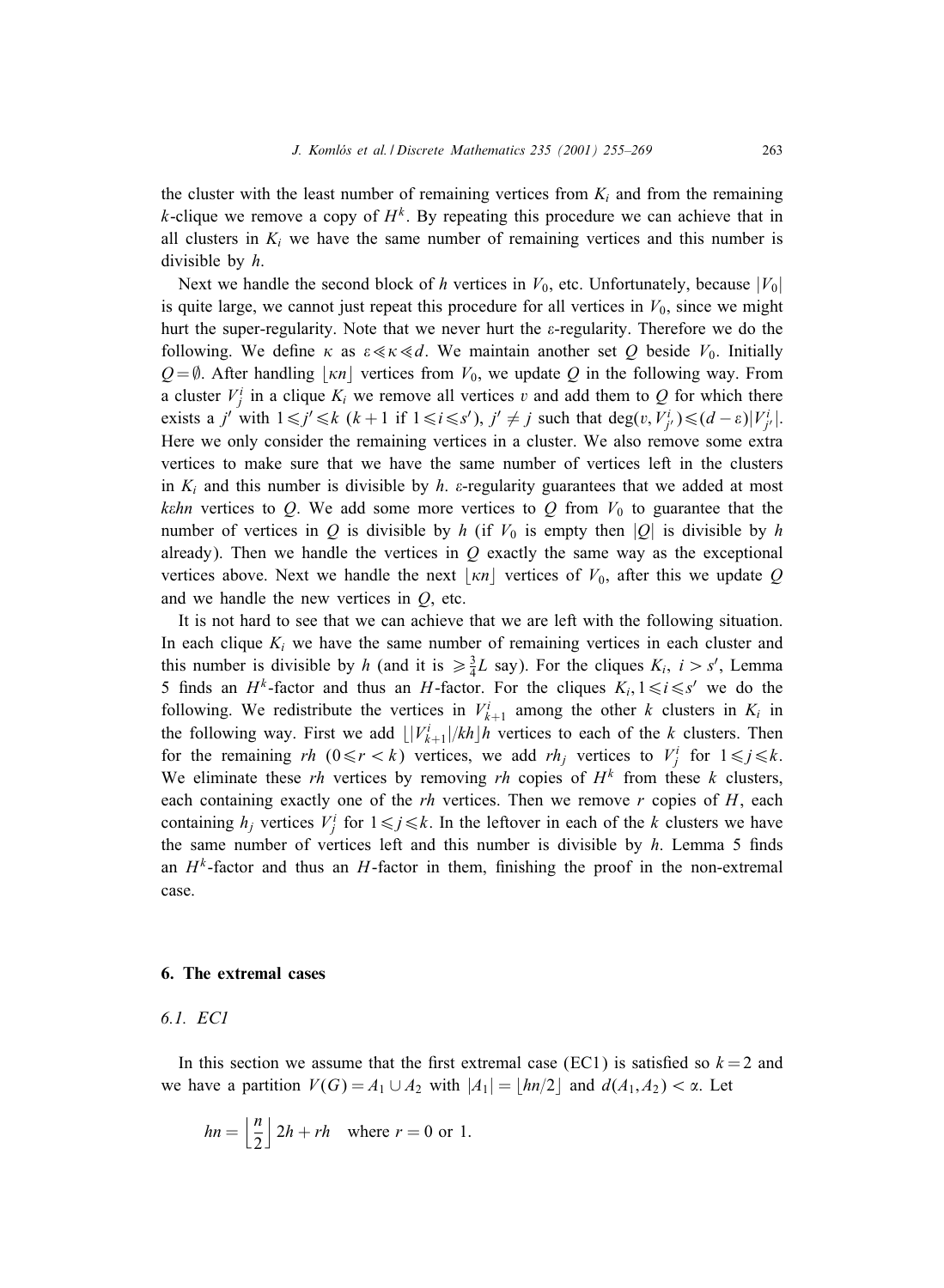the cluster with the least number of remaining vertices from  $K_i$  and from the remaining k-clique we remove a copy of  $H^k$ . By repeating this procedure we can achieve that in all clusters in  $K_i$  we have the same number of remaining vertices and this number is divisible by h.

Next we handle the second block of h vertices in  $V_0$ , etc. Unfortunately, because  $|V_0|$ is quite large, we cannot just repeat this procedure for all vertices in  $V_0$ , since we might hurt the super-regularity. Note that we never hurt the  $\varepsilon$ -regularity. Therefore we do the following. We define  $\kappa$  as  $\varepsilon \ll \kappa \ll d$ . We maintain another set Q beside  $V_0$ . Initially  $Q = \emptyset$ . After handling | $\kappa n$ | vertices from  $V_0$ , we update Q in the following way. From a cluster  $V_j^i$  in a clique  $K_i$  we remove all vertices v and add them to Q for which there exists a j' with  $1 \le j' \le k$   $(k+1$  if  $1 \le i \le s')$ ,  $j' \ne j$  such that  $\deg(v, V^i_{j'}) \le (d-\varepsilon)|V^i_{j'}|$ . Here we only consider the remaining vertices in a cluster. We also remove some extra vertices to make sure that we have the same number of vertices left in the clusters in  $K_i$  and this number is divisible by h.  $\varepsilon$ -regularity guarantees that we added at most kehn vertices to Q. We add some more vertices to Q from  $V_0$  to guarantee that the number of vertices in Q is divisible by h (if  $V_0$  is empty then |Q| is divisible by h already). Then we handle the vertices in  $Q$  exactly the same way as the exceptional vertices above. Next we handle the next  $|\kappa n|$  vertices of  $V_0$ , after this we update Q and we handle the new vertices in  $Q$ , etc.

It is not hard to see that we can achieve that we are left with the following situation. In each clique  $K_i$  we have the same number of remaining vertices in each cluster and this number is divisible by h (and it is  $\geq \frac{3}{4}L$  say). For the cliques  $K_i$ ,  $i > s'$ , Lemma 5 finds an  $H^k$ -factor and thus an H-factor. For the cliques  $K_i, 1 \le i \le s'$  we do the following. We redistribute the vertices in  $V_{k+1}^i$  among the other k clusters in  $K_i$  in the following way. First we add  $\lfloor |V_{k+1}^{i}|/kh \rfloor h$  vertices to each of the k clusters. Then for the remaining rh  $(0 \le r < k)$  vertices, we add rh<sub>j</sub> vertices to  $V_j^i$  for  $1 \le j \le k$ . We eliminate these rh vertices by removing rh copies of  $H<sup>k</sup>$  from these k clusters, each containing exactly one of the  $rh$  vertices. Then we remove  $r$  copies of  $H$ , each containing  $h_j$  vertices  $V_j^i$  for  $1 \leq j \leq k$ . In the leftover in each of the k clusters we have the same number of vertices left and this number is divisible by  $h$ . Lemma 5 finds an  $H^k$ -factor and thus an  $H$ -factor in them, finishing the proof in the non-extremal case.

#### **6. The extremal cases**

## *6.1. EC1*

In this section we assume that the first extremal case (EC1) is satisfied so  $k = 2$  and we have a partition  $V(G) = A_1 \cup A_2$  with  $|A_1| = \lfloor hn/2 \rfloor$  and  $d(A_1, A_2) < \alpha$ . Let

$$
hn = \left\lfloor \frac{n}{2} \right\rfloor 2h + rh \quad \text{where } r = 0 \text{ or } 1.
$$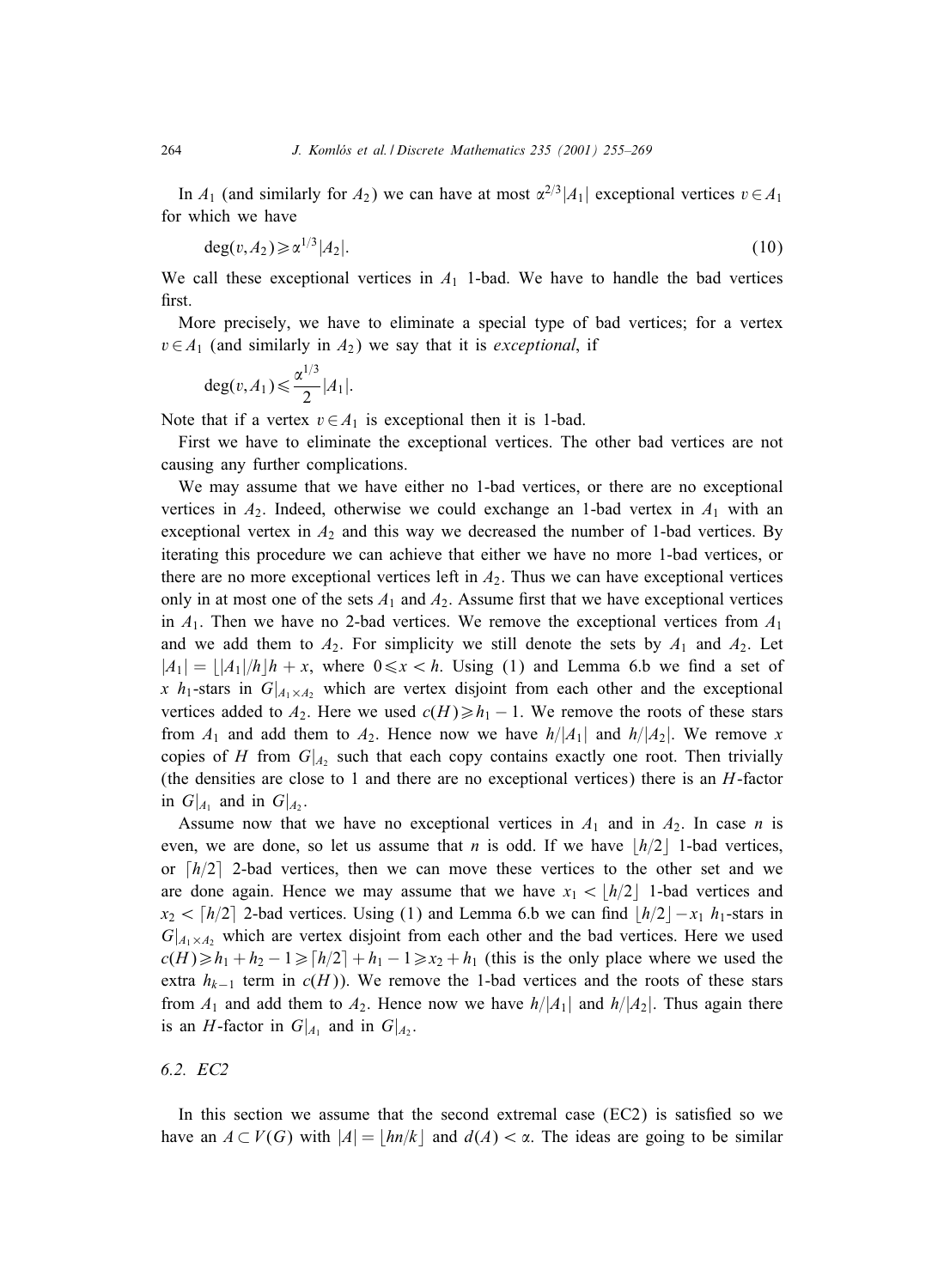In  $A_1$  (and similarly for  $A_2$ ) we can have at most  $\alpha^{2/3}|A_1|$  exceptional vertices  $v \in A_1$ for which we have

$$
\deg(v, A_2) \geqslant \alpha^{1/3} |A_2|.\tag{10}
$$

We call these exceptional vertices in  $A_1$  1-bad. We have to handle the bad vertices first.

More precisely, we have to eliminate a special type of bad vertices; for a vertex  $v \in A_1$  (and similarly in  $A_2$ ) we say that it is *exceptional*, if

$$
\deg(v, A_1) \leqslant \frac{\alpha^{1/3}}{2}|A_1|.
$$

Note that if a vertex  $v \in A_1$  is exceptional then it is 1-bad.

First we have to eliminate the exceptional vertices. The other bad vertices are not causing any further complications.

We may assume that we have either no 1-bad vertices, or there are no exceptional vertices in  $A_2$ . Indeed, otherwise we could exchange an 1-bad vertex in  $A_1$  with an exceptional vertex in  $A_2$  and this way we decreased the number of 1-bad vertices. By iterating this procedure we can achieve that either we have no more 1-bad vertices, or there are no more exceptional vertices left in  $A_2$ . Thus we can have exceptional vertices only in at most one of the sets  $A_1$  and  $A_2$ . Assume first that we have exceptional vertices in  $A_1$ . Then we have no 2-bad vertices. We remove the exceptional vertices from  $A_1$ and we add them to  $A_2$ . For simplicity we still denote the sets by  $A_1$  and  $A_2$ . Let  $|A_1| = |A_1|/h|h + x$ , where  $0 \le x < h$ . Using (1) and Lemma 6.b we find a set of x  $h_1$ -stars in  $G|_{A_1 \times A_2}$  which are vertex disjoint from each other and the exceptional vertices added to  $A_2$ . Here we used  $c(H) \geq h_1 - 1$ . We remove the roots of these stars from  $A_1$  and add them to  $A_2$ . Hence now we have  $h/|A_1|$  and  $h/|A_2|$ . We remove x copies of H from  $G|_{A_2}$  such that each copy contains exactly one root. Then trivially (the densities are close to 1 and there are no exceptional vertices) there is an H-factor in  $G|_{A_1}$  and in  $G|_{A_2}$ .

Assume now that we have no exceptional vertices in  $A_1$  and in  $A_2$ . In case n is even, we are done, so let us assume that *n* is odd. If we have  $|h/2|$  1-bad vertices, or  $\lceil h/2 \rceil$  2-bad vertices, then we can move these vertices to the other set and we are done again. Hence we may assume that we have  $x_1 < |h/2|$  1-bad vertices and  $x_2 < \lfloor h/2 \rfloor$  2-bad vertices. Using (1) and Lemma 6.b we can find  $\lfloor h/2 \rfloor - x_1 h_1$ -stars in  $G|_{A_1\times A_2}$  which are vertex disjoint from each other and the bad vertices. Here we used  $c(H) \ge h_1 + h_2 - 1 \ge h/2 + h_1 - 1 \ge x_2 + h_1$  (this is the only place where we used the extra  $h_{k-1}$  term in  $c(H)$ ). We remove the 1-bad vertices and the roots of these stars from  $A_1$  and add them to  $A_2$ . Hence now we have  $h/|A_1|$  and  $h/|A_2|$ . Thus again there is an H-factor in  $G|_{A_1}$  and in  $G|_{A_2}$ .

## *6.2. EC2*

In this section we assume that the second extremal case  $(EC2)$  is satisfied so we have an  $A \subset V(G)$  with  $|A| = |hn/k|$  and  $d(A) < \alpha$ . The ideas are going to be similar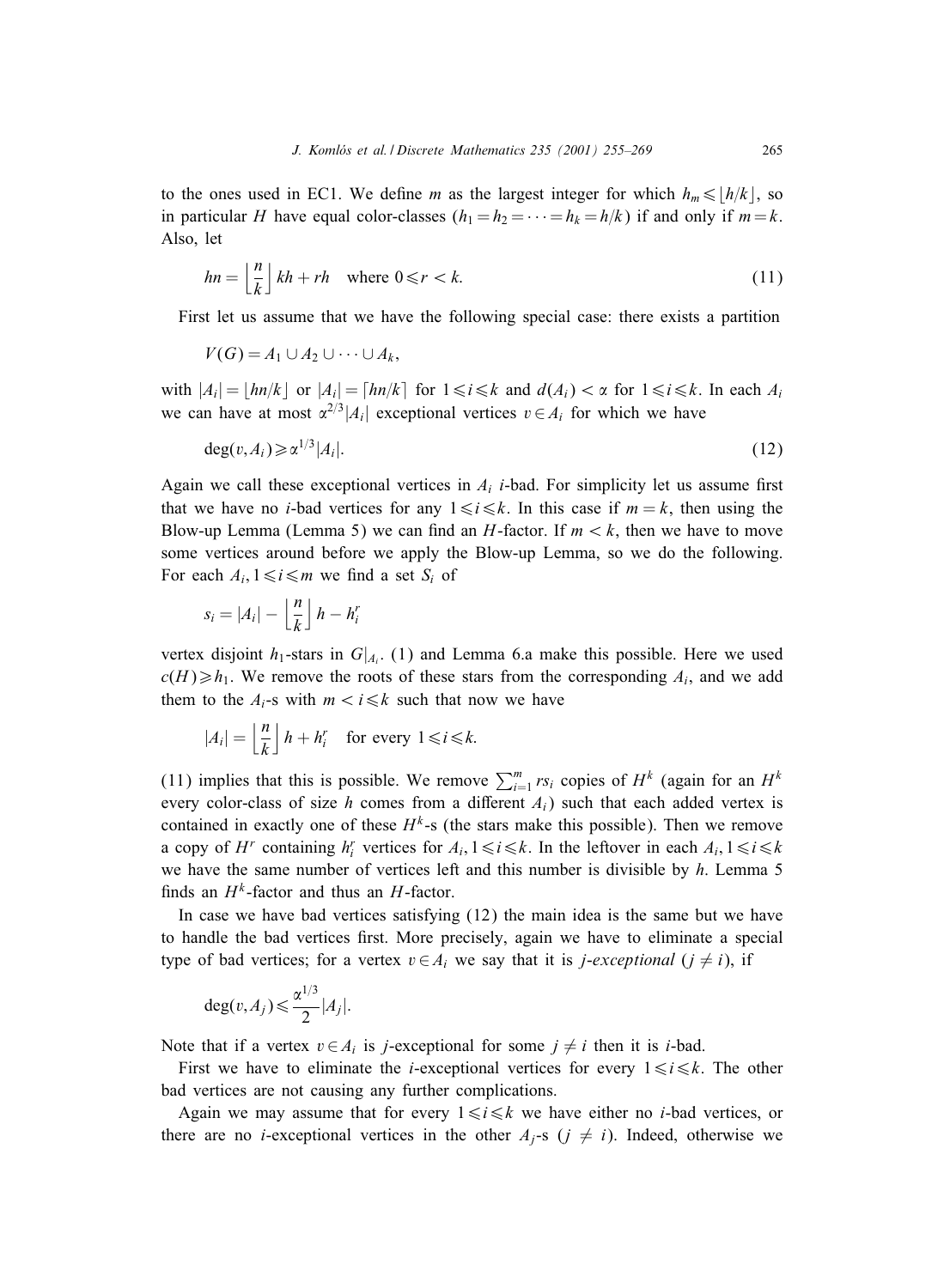to the ones used in EC1. We define m as the largest integer for which  $h_m \leq h/k$ , so in particular H have equal color-classes  $(h_1 = h_2 = \cdots = h_k = h/k)$  if and only if  $m = k$ . Also, let

$$
hn = \left\lfloor \frac{n}{k} \right\rfloor kh + rh \quad \text{where } 0 \le r < k. \tag{11}
$$

First let us assume that we have the following special case: there exists a partition

$$
V(G) = A_1 \cup A_2 \cup \cdots \cup A_k,
$$

with  $|A_i| = \lfloor hn/k \rfloor$  or  $|A_i| = \lceil hn/k \rceil$  for  $1 \le i \le k$  and  $d(A_i) < \alpha$  for  $1 \le i \le k$ . In each  $A_i$ we can have at most  $\alpha^{2/3}|A_i|$  exceptional vertices  $v \in A_i$  for which we have

$$
\deg(v, A_i) \geq \alpha^{1/3} |A_i|.
$$
\n<sup>(12)</sup>

Again we call these exceptional vertices in  $A_i$  *i*-bad. For simplicity let us assume first that we have no *i*-bad vertices for any  $1 \le i \le k$ . In this case if  $m = k$ , then using the Blow-up Lemma (Lemma 5) we can find an H-factor. If  $m < k$ , then we have to move some vertices around before we apply the Blow-up Lemma, so we do the following. For each  $A_i$ ,  $1 \le i \le m$  we find a set  $S_i$  of

$$
s_i = |A_i| - \left\lfloor \frac{n}{k} \right\rfloor h - h_i^r
$$

vertex disjoint  $h_1$ -stars in  $G|_{A_i}$ . (1) and Lemma 6.a make this possible. Here we used  $c(H) \ge h_1$ . We remove the roots of these stars from the corresponding  $A_i$ , and we add them to the  $A_i$ -s with  $m < i \leq k$  such that now we have

$$
|A_i| = \left\lfloor \frac{n}{k} \right\rfloor h + h_i^r \quad \text{for every } 1 \le i \le k.
$$

(11) implies that this is possible. We remove  $\sum_{i=1}^{m} rs_i$  copies of  $H^k$  (again for an  $H^k$ every color-class of size h comes from a different  $A_i$ ) such that each added vertex is contained in exactly one of these  $H^k$ -s (the stars make this possible). Then we remove a copy of  $H^r$  containing  $h_i^r$  vertices for  $A_i, 1 \le i \le k$ . In the leftover in each  $A_i, 1 \le i \le k$ we have the same number of vertices left and this number is divisible by h. Lemma 5 finds an  $H^k$ -factor and thus an H-factor.

In case we have bad vertices satisfying  $(12)$  the main idea is the same but we have to handle the bad vertices first. More precisely, again we have to eliminate a special type of bad vertices; for a vertex  $v \in A_i$  we say that it is *j-exceptional*  $(j \neq i)$ , if

$$
\deg(v, A_j) \leq \frac{\alpha^{1/3}}{2}|A_j|.
$$

Note that if a vertex  $v \in A_i$  is j-exceptional for some  $j \neq i$  then it is i-bad.

First we have to eliminate the *i*-exceptional vertices for every  $1 \le i \le k$ . The other bad vertices are not causing any further complications.

Again we may assume that for every  $1 \le i \le k$  we have either no *i*-bad vertices, or there are no *i*-exceptional vertices in the other  $A_i$ -s ( $j \neq i$ ). Indeed, otherwise we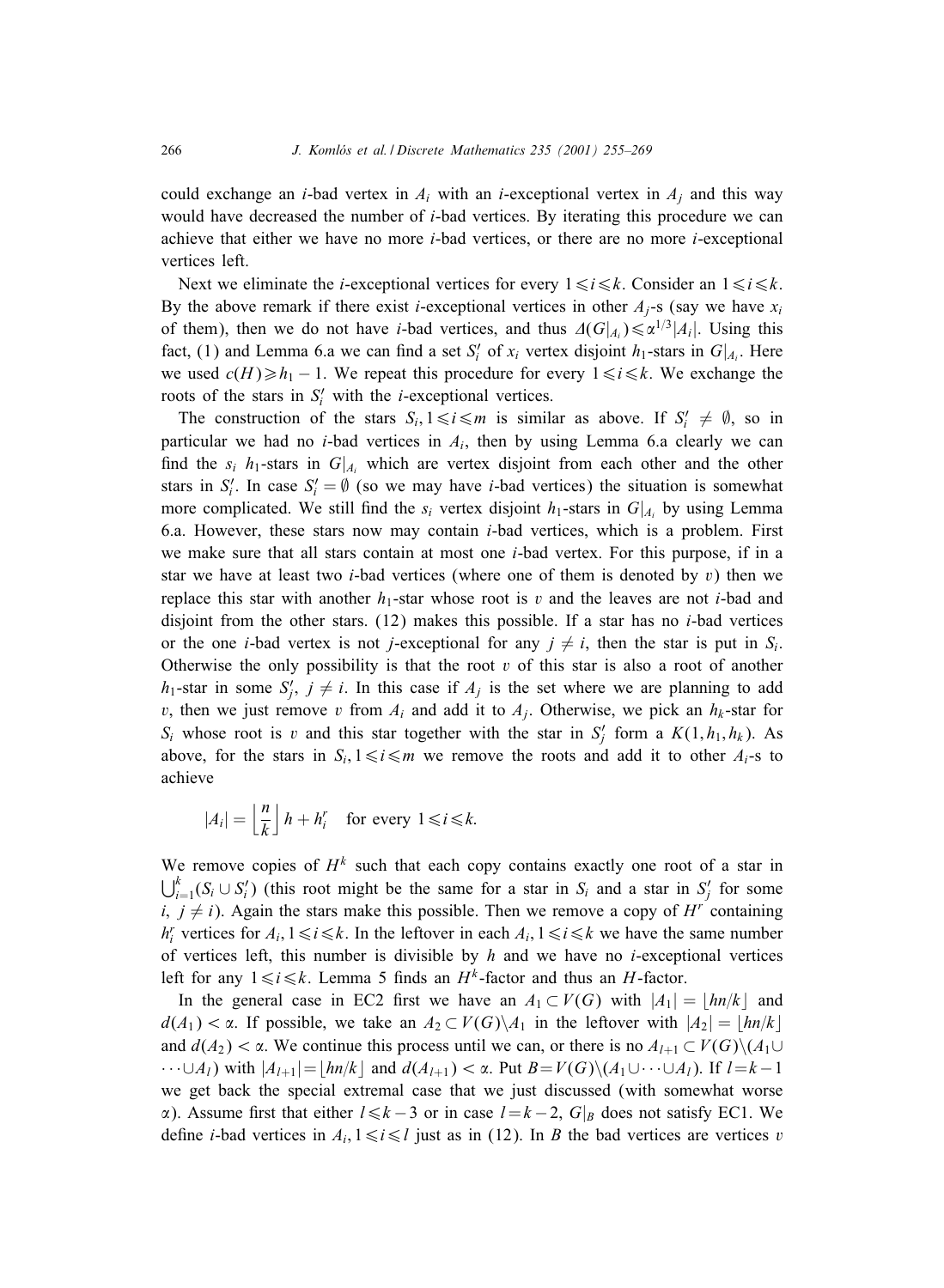could exchange an *i*-bad vertex in  $A_i$  with an *i*-exceptional vertex in  $A_i$  and this way would have decreased the number of i-bad vertices. By iterating this procedure we can achieve that either we have no more i-bad vertices, or there are no more i-exceptional vertices left.

Next we eliminate the *i*-exceptional vertices for every  $1 \le i \le k$ . Consider an  $1 \le i \le k$ . By the above remark if there exist *i*-exceptional vertices in other  $A_i$ -s (say we have  $x_i$ of them), then we do not have *i*-bad vertices, and thus  $\Delta(G|_{A_i}) \le \alpha^{1/3}|A_i|$ . Using this fact, (1) and Lemma 6.a we can find a set  $S_i'$  of  $x_i$  vertex disjoint  $h_1$ -stars in  $G|_{A_i}$ . Here we used  $c(H) \ge h_1 - 1$ . We repeat this procedure for every  $1 \le i \le k$ . We exchange the roots of the stars in  $S_i'$  with the *i*-exceptional vertices.

The construction of the stars  $S_i, 1 \le i \le m$  is similar as above. If  $S'_i \neq \emptyset$ , so in particular we had no *i*-bad vertices in  $A_i$ , then by using Lemma 6.a clearly we can find the  $s_i$  h<sub>1</sub>-stars in  $G|_{A_i}$  which are vertex disjoint from each other and the other stars in  $S_i'$ . In case  $S_i' = \emptyset$  (so we may have *i*-bad vertices) the situation is somewhat more complicated. We still find the  $s_i$  vertex disjoint  $h_1$ -stars in  $G|_{A_i}$  by using Lemma 6.a. However, these stars now may contain  $i$ -bad vertices, which is a problem. First we make sure that all stars contain at most one  $i$ -bad vertex. For this purpose, if in a star we have at least two *i*-bad vertices (where one of them is denoted by v) then we replace this star with another  $h_1$ -star whose root is v and the leaves are not *i*-bad and disjoint from the other stars.  $(12)$  makes this possible. If a star has no *i*-bad vertices or the one *i*-bad vertex is not *j*-exceptional for any  $j \neq i$ , then the star is put in  $S_i$ . Otherwise the only possibility is that the root  $v$  of this star is also a root of another  $h_1$ -star in some  $S'_j$ ,  $j \neq i$ . In this case if  $A_j$  is the set where we are planning to add v, then we just remove v from  $A_i$  and add it to  $A_i$ . Otherwise, we pick an  $h_k$ -star for  $S_i$  whose root is v and this star together with the star in  $S'_j$  form a  $K(1, h_1, h_k)$ . As above, for the stars in  $S_i, 1 \le i \le m$  we remove the roots and add it to other  $A_i$ -s to achieve

$$
|A_i| = \left\lfloor \frac{n}{k} \right\rfloor h + h_i^r \quad \text{for every } 1 \le i \le k.
$$

We remove copies of  $H^k$  such that each copy contains exactly one root of a star in  $\bigcup_{i=1}^k (S_i \cup S'_i)$  (this root might be the same for a star in  $S_i$  and a star in  $S'_j$  for some i,  $j \neq i$ ). Again the stars make this possible. Then we remove a copy of  $H^r$  containing  $h_i^r$  vertices for  $A_i, 1 \le i \le k$ . In the leftover in each  $A_i, 1 \le i \le k$  we have the same number of vertices left, this number is divisible by  $h$  and we have no *i*-exceptional vertices left for any  $1 \le i \le k$ . Lemma 5 finds an  $H^k$ -factor and thus an H-factor.

In the general case in EC2 first we have an  $A_1 \subset V(G)$  with  $|A_1| = |hn/k|$  and  $d(A_1) < \alpha$ . If possible, we take an  $A_2 \subset V(G) \setminus A_1$  in the leftover with  $|A_2| = |h n/k|$ and  $d(A_2) < \alpha$ . We continue this process until we can, or there is no  $A_{l+1} \subset V(G) \setminus (A_1 \cup$  $\cdots \cup A_l$ ) with  $|A_{l+1}| = |hn/k|$  and  $d(A_{l+1}) < \alpha$ . Put  $B = V(G) \setminus (A_1 \cup \cdots \cup A_l)$ . If  $l = k - 1$ we get back the special extremal case that we just discussed (with somewhat worse  $\alpha$ ). Assume first that either  $l \leq k - 3$  or in case  $l = k - 2$ ,  $G|_B$  does not satisfy EC1. We define *i*-bad vertices in  $A_i$ ,  $1 \le i \le l$  just as in (12). In *B* the bad vertices are vertices *v*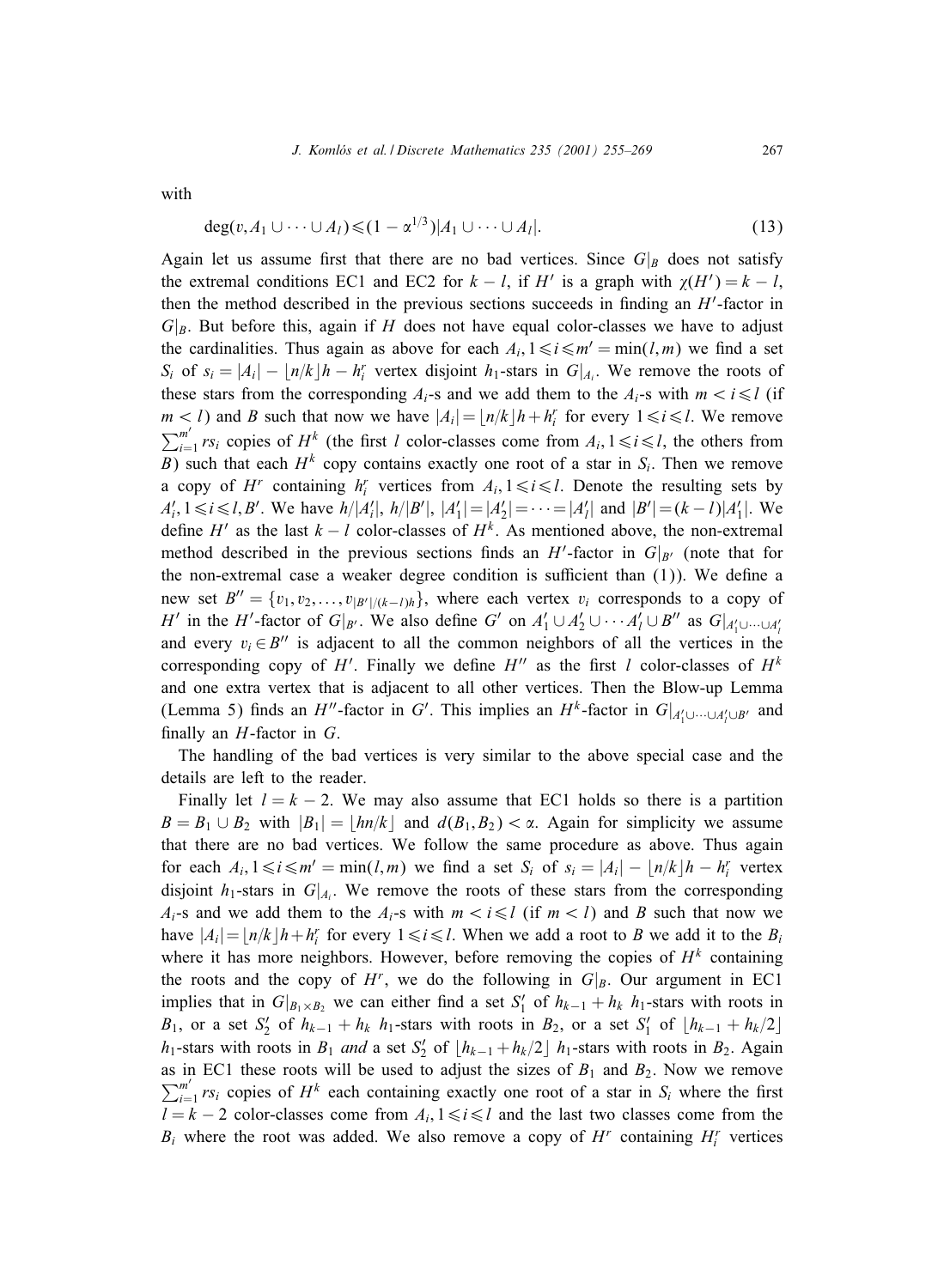with

$$
\deg(v, A_1 \cup \cdots \cup A_l) \leq (1 - \alpha^{1/3}) |A_1 \cup \cdots \cup A_l|.
$$
\n(13)

Again let us assume first that there are no bad vertices. Since  $G|_B$  does not satisfy the extremal conditions EC1 and EC2 for  $k - l$ , if H' is a graph with  $\chi(H') = k - l$ , then the method described in the previous sections succeeds in finding an  $H'$ -factor in  $G|_B$ . But before this, again if H does not have equal color-classes we have to adjust the cardinalities. Thus again as above for each  $A_i, 1 \leq i \leq m' = \min(l, m)$  we find a set  $S_i$  of  $s_i = |A_i| - |n/k|h - h_i^r$  vertex disjoint  $h_1$ -stars in  $G|_{A_i}$ . We remove the roots of these stars from the corresponding  $A_i$ -s and we add them to the  $A_i$ -s with  $m < i \leq l$  (if  $m < l$ ) and B such that now we have  $|A_i| = \lfloor n/k \rfloor h + h_i^r$  for every  $1 \le i \le l$ . We remove  $\sum_{i=1}^{m'} rs_i$  copies of  $H^k$  (the first l color-classes come from  $A_i, 1 \le i \le l$ , the others from B) such that each  $H^k$  copy contains exactly one root of a star in  $S_i$ . Then we remove a copy of  $H^r$  containing  $h_i^r$  vertices from  $A_i, 1 \leq i \leq l$ . Denote the resulting sets by  $A'_i, 1 \le i \le l, B'$ . We have  $h/|A'_i|, h/|B'|, |A'_1| = |A'_2| = \cdots = |A'_l|$  and  $|B'| = (k-l)|A'_1|$ . We define H<sup> $\prime$ </sup> as the last  $k - l$  color-classes of  $H^k$ . As mentioned above, the non-extremal method described in the previous sections finds an H'-factor in  $G|_{B'}$  (note that for the non-extremal case a weaker degree condition is sufficient than  $(1)$ ). We define a new set  $B'' = \{v_1, v_2, \ldots, v_{|B'|/(k-l)h}\},$  where each vertex  $v_i$  corresponds to a copy of H' in the H'-factor of  $G|_{B'}$ . We also define G' on  $A'_1 \cup A'_2 \cup \cdots A'_l \cup B''$  as  $G|_{A'_1 \cup \cdots \cup A'_l}$ and every  $v_i \in B''$  is adjacent to all the common neighbors of all the vertices in the corresponding copy of H'. Finally we define  $H''$  as the first l color-classes of  $H^k$ and one extra vertex that is adjacent to all other vertices. Then the Blow-up Lemma (Lemma 5) finds an H''-factor in G'. This implies an H<sup>k</sup>-factor in  $G|_{A'_1 \cup \cdots \cup A'_l \cup B'}$  and finally an  $H$ -factor in  $G$ .

The handling of the bad vertices is very similar to the above special case and the details are left to the reader.

Finally let  $l = k - 2$ . We may also assume that EC1 holds so there is a partition  $B = B_1 \cup B_2$  with  $|B_1| = |h n/k|$  and  $d(B_1, B_2) < \alpha$ . Again for simplicity we assume that there are no bad vertices. We follow the same procedure as above. Thus again for each  $A_i, 1 \le i \le m' = \min(l, m)$  we find a set  $S_i$  of  $s_i = |A_i| - |n/k| - h_i^r$  vertex disjoint  $h_1$ -stars in  $G|_{A_i}$ . We remove the roots of these stars from the corresponding  $A_i$ -s and we add them to the  $A_i$ -s with  $m < i \leq l$  (if  $m < l$ ) and B such that now we have  $|A_i| = \lfloor n/k \rfloor h + h_i^r$  for every  $1 \le i \le l$ . When we add a root to B we add it to the  $B_i$ where it has more neighbors. However, before removing the copies of  $H<sup>k</sup>$  containing the roots and the copy of  $H^r$ , we do the following in  $G|_B$ . Our argument in EC1 implies that in  $G|_{B_1 \times B_2}$  we can either find a set  $S'_1$  of  $h_{k-1} + h_k$   $h_1$ -stars with roots in  $B_1$ , or a set  $S'_2$  of  $h_{k-1} + h_k$   $h_1$ -stars with roots in  $B_2$ , or a set  $S'_1$  of  $\lfloor h_{k-1} + h_k/2 \rfloor$  $h_1$ -stars with roots in  $B_1$  *and* a set  $S'_2$  of  $\lfloor h_{k-1} + h_k/2 \rfloor$   $h_1$ -stars with roots in  $B_2$ . Again as in EC1 these roots will be used to adjust the sizes of  $B_1$  and  $B_2$ . Now we remove  $\sum_{i=1}^{m'} rs_i$  copies of  $H^k$  each containing exactly one root of a star in  $S_i$  where the first  $l = k - 2$  color-classes come from  $A_i, 1 \le i \le l$  and the last two classes come from the  $B_i$  where the root was added. We also remove a copy of  $H^r$  containing  $H_i^r$  vertices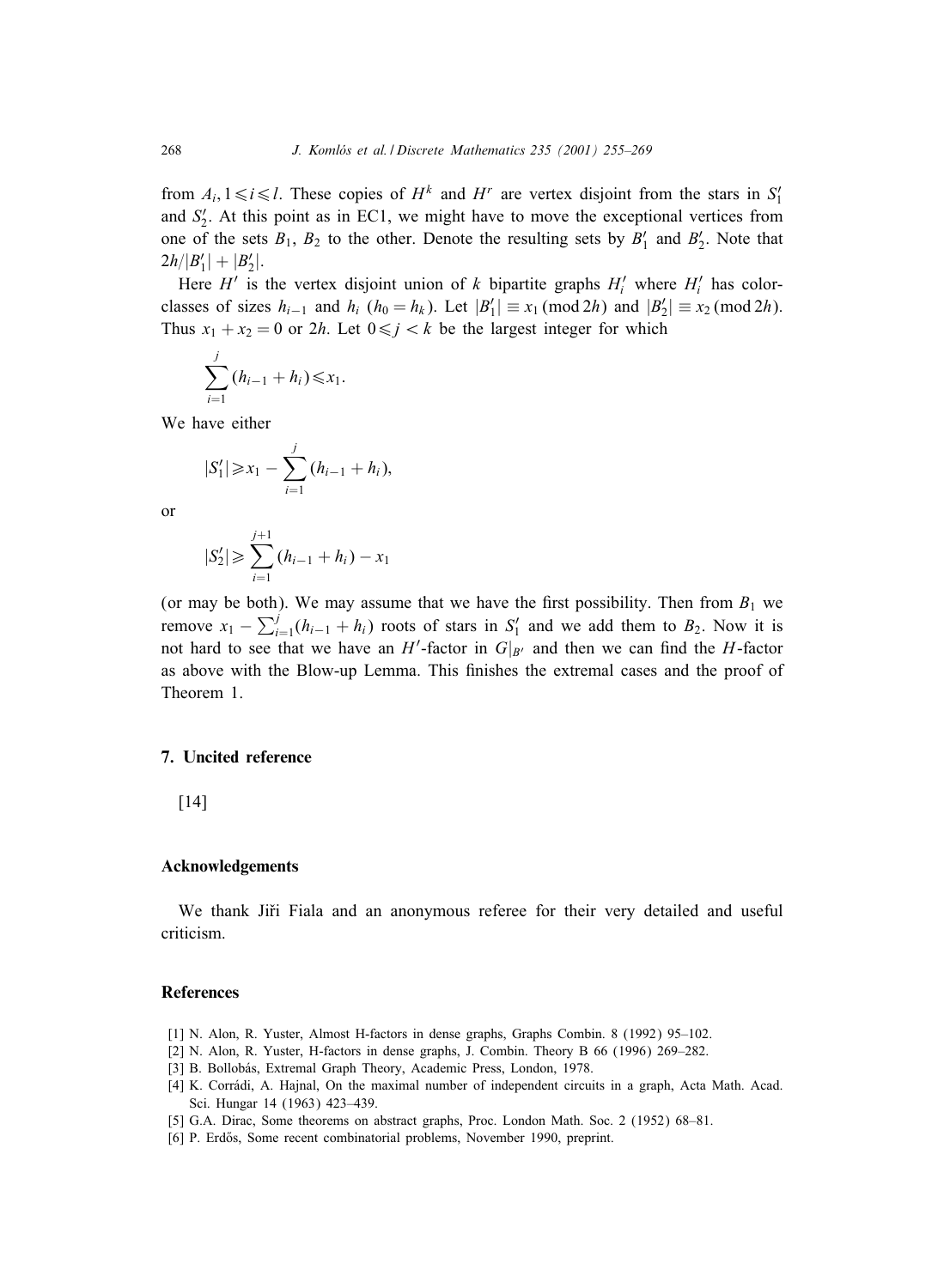from  $A_i, 1 \le i \le l$ . These copies of  $H^k$  and  $H^r$  are vertex disjoint from the stars in  $S'_1$ and  $S'_2$ . At this point as in EC1, we might have to move the exceptional vertices from one of the sets  $B_1$ ,  $B_2$  to the other. Denote the resulting sets by  $B'_1$  and  $B'_2$ . Note that  $2h/|B'_1| + |B'_2|.$ 

Here  $H'$  is the vertex disjoint union of k bipartite graphs  $H'_i$  where  $H'_i$  has colorclasses of sizes  $h_{i-1}$  and  $h_i$  ( $h_0 = h_k$ ). Let  $|B'_1| \equiv x_1 \pmod{2h}$  and  $|B'_2| \equiv x_2 \pmod{2h}$ . Thus  $x_1 + x_2 = 0$  or  $2h$ . Let  $0 \le j \le k$  be the largest integer for which

$$
\sum_{i=1}^j (h_{i-1} + h_i) \leq x_1.
$$

We have either

$$
|S_1'| \ge x_1 - \sum_{i=1}^j (h_{i-1} + h_i),
$$

or

$$
|S_2'| \geqslant \sum_{i=1}^{j+1} (h_{i-1} + h_i) - x_1
$$

(or may be both). We may assume that we have the first possibility. Then from  $B_1$  we remove  $x_1 - \sum_{i=1}^{j} (h_{i-1} + h_i)$  roots of stars in  $S'_1$  and we add them to  $B_2$ . Now it is not hard to see that we have an H'-factor in  $G|_{B'}$  and then we can find the H-factor as above with the Blow-up Lemma. This finishes the extremal cases and the proof of Theorem 1.

#### **7. Uncited reference**

[14]

#### **Acknowledgements**

We thank Jiři Fiala and an anonymous referee for their very detailed and useful criticism.

## **References**

- [1] N. Alon, R. Yuster, Almost H-factors in dense graphs, Graphs Combin. 8 (1992) 95–102.
- [2] N. Alon, R. Yuster, H-factors in dense graphs, J. Combin. Theory B 66 (1996) 269–282.
- [3] B. Bollobás, Extremal Graph Theory, Academic Press, London, 1978.
- [4] K. Corrádi, A. Hajnal, On the maximal number of independent circuits in a graph, Acta Math. Acad. Sci. Hungar 14 (1963) 423–439.
- [5] G.A. Dirac, Some theorems on abstract graphs, Proc. London Math. Soc. 2 (1952) 68–81.
- [6] P. Erdős, Some recent combinatorial problems, November 1990, preprint.